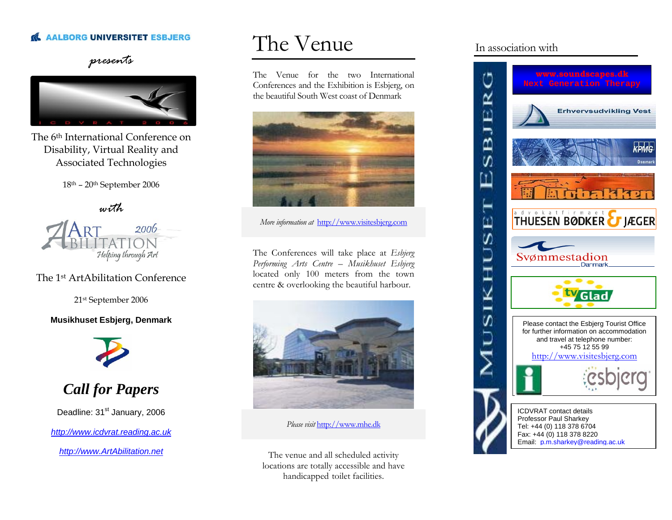#### **AALBORG UNIVERSITET ESBJERG**

#### *presents*



The 6th International Conference on Disability, Virtual Reality and Associated Technologies

18th – 20th September 2006

*with* 



#### The 1st ArtAbilitation Conference

21st September 2006

#### **Musikhuset Esbjerg, Denmark**



*Call for Papers* 

Deadline: 31<sup>st</sup> January, 2006

*[http://www.icdvrat.reading.ac.uk](http://www.icdvrat.reading.ac.uk/)*

*[http://www.ArtAbilitation.net](http://www.artabilitation.net/)*

## The Venue

The Venue for the two International Conferences and the Exhibition is Esbjerg, on the beautiful South West coast of Denmark



*More information at* http://www.visitesbjerg.com

The Conferences will take place at *Esbjerg Performing Arts Centre – Musikhuset Esbjerg* located only 100 meters from the town centre & overlooking the beautiful harbour.



*Please visit* [http://www.mhe.dk](http://www.mhe.dk/)

The venue and all scheduled activity locations are totally accessible and have handicapped toilet facilities.

#### In association with